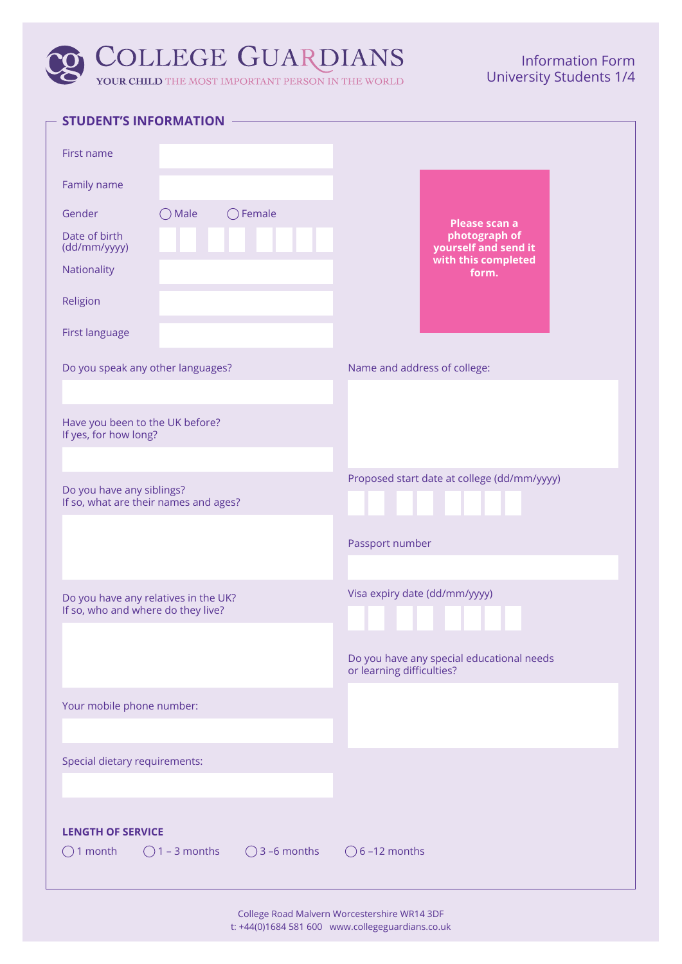# **COLLEGE GUARDIANS** YOUR CHILD THE MOST IMPORTANT PERSON IN THE WORLD

## Information Form University Students 1/4

| <b>STUDENT'S INFORMATION</b>                                                                                      |                                                                        |  |  |
|-------------------------------------------------------------------------------------------------------------------|------------------------------------------------------------------------|--|--|
| First name                                                                                                        |                                                                        |  |  |
| Family name                                                                                                       |                                                                        |  |  |
| $\bigcirc$ Female<br>Gender<br>Male<br>$\rightarrow$                                                              |                                                                        |  |  |
| Date of birth<br>(dd/mm/yyyy)                                                                                     | Please scan a<br>photograph of<br>yourself and send it                 |  |  |
| Nationality                                                                                                       | with this completed<br>form.                                           |  |  |
| Religion                                                                                                          |                                                                        |  |  |
| First language                                                                                                    |                                                                        |  |  |
| Do you speak any other languages?                                                                                 | Name and address of college:                                           |  |  |
| Have you been to the UK before?<br>If yes, for how long?                                                          |                                                                        |  |  |
|                                                                                                                   |                                                                        |  |  |
| Proposed start date at college (dd/mm/yyyy)<br>Do you have any siblings?<br>If so, what are their names and ages? |                                                                        |  |  |
|                                                                                                                   | Passport number                                                        |  |  |
| Visa expiry date (dd/mm/yyyy)<br>Do you have any relatives in the UK?<br>If so, who and where do they live?       |                                                                        |  |  |
|                                                                                                                   | Do you have any special educational needs<br>or learning difficulties? |  |  |
| Your mobile phone number:                                                                                         |                                                                        |  |  |
|                                                                                                                   |                                                                        |  |  |
| Special dietary requirements:                                                                                     |                                                                        |  |  |
|                                                                                                                   |                                                                        |  |  |
| <b>LENGTH OF SERVICE</b><br>$\bigcirc$ 3 –6 months<br>$\bigcirc$ 1 month<br>$\bigcirc$ 1 – 3 months               | $\bigcirc$ 6 -12 months                                                |  |  |
|                                                                                                                   |                                                                        |  |  |

College Road Malvern Worcestershire WR14 3DF t: +44(0)1684 581 600 www.collegeguardians.co.uk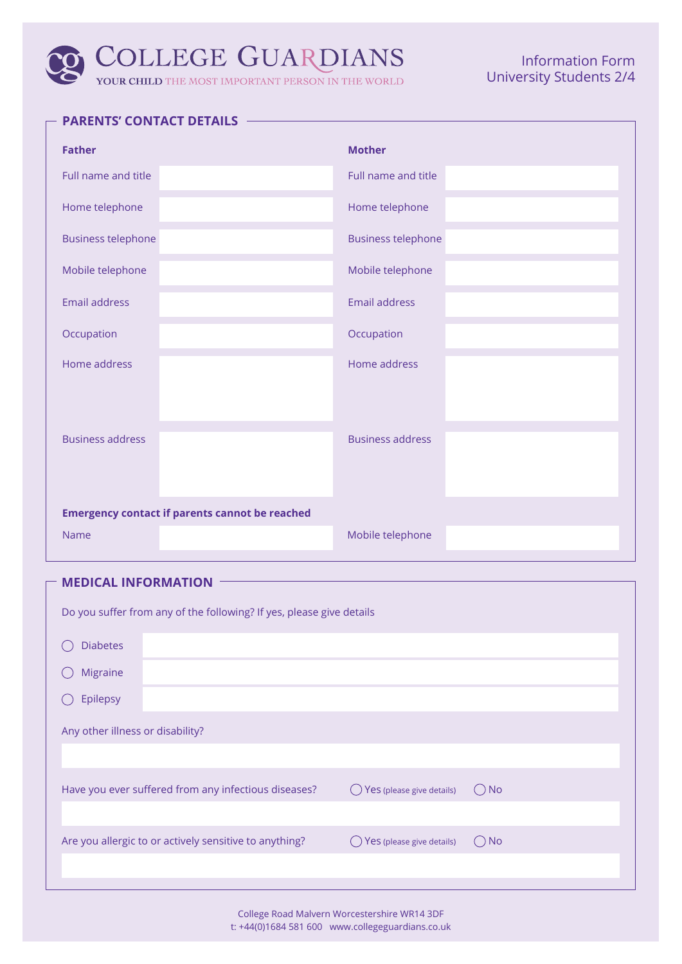# **COLLEGE GUARDIANS** YOUR CHILD THE MOST IMPORTANT PERSON IN THE WORLD

### Information Form University Students 2/4

| <b>Father</b>                                         | <b>Mother</b>             |
|-------------------------------------------------------|---------------------------|
| Full name and title                                   | Full name and title       |
| Home telephone                                        | Home telephone            |
| <b>Business telephone</b>                             | <b>Business telephone</b> |
| Mobile telephone                                      | Mobile telephone          |
| <b>Email address</b>                                  | <b>Email address</b>      |
| Occupation                                            | Occupation                |
| Home address                                          | Home address              |
| <b>Business address</b>                               | <b>Business address</b>   |
| <b>Emergency contact if parents cannot be reached</b> |                           |
| Name                                                  | Mobile telephone          |

### **MEDICAL INFORMATION**

| Do you suffer from any of the following? If yes, please give details |                                                        |                           |               |  |  |  |
|----------------------------------------------------------------------|--------------------------------------------------------|---------------------------|---------------|--|--|--|
| <b>Diabetes</b>                                                      |                                                        |                           |               |  |  |  |
| <b>Migraine</b>                                                      |                                                        |                           |               |  |  |  |
| Epilepsy                                                             |                                                        |                           |               |  |  |  |
| Any other illness or disability?                                     |                                                        |                           |               |  |  |  |
|                                                                      |                                                        |                           |               |  |  |  |
|                                                                      | Have you ever suffered from any infectious diseases?   | Yes (please give details) | $\bigcirc$ No |  |  |  |
|                                                                      |                                                        |                           |               |  |  |  |
|                                                                      | Are you allergic to or actively sensitive to anything? | Yes (please give details) | $()$ No       |  |  |  |
|                                                                      |                                                        |                           |               |  |  |  |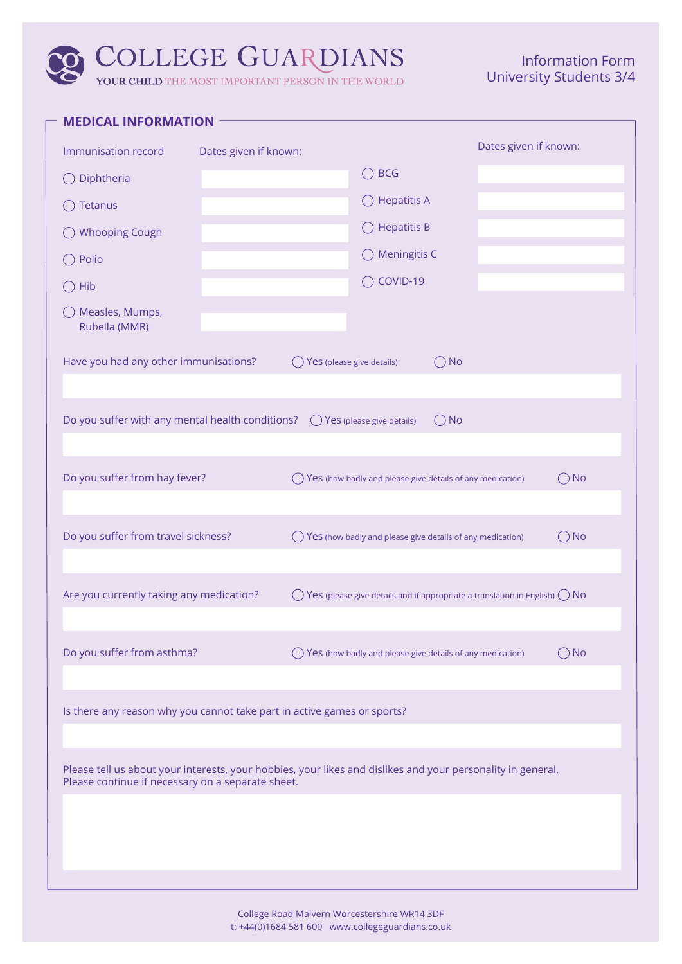# **COLLEGE GUARDIANS** YOUR CHILD THE MOST IMPORTANT PERSON IN THE WORLD

### Information Form University Students 3/4

| Dates given if known:<br>Immunisation record<br>Dates given if known:<br><b>BCG</b><br>Diphtheria<br><b>Hepatitis A</b><br>$($ )<br>Tetanus<br>$\bigcirc$ Hepatitis B<br><b>Whooping Cough</b><br>$\bigcirc$ Meningitis C<br>Polio<br>◯ COVID-19<br>Hib<br>◯ Measles, Mumps,<br>Rubella (MMR)<br>Have you had any other immunisations?<br>$\bigcirc$ No<br>Yes (please give details)<br>Do you suffer with any mental health conditions? $\bigcirc$ Yes (please give details)<br>$\bigcirc$ No<br>Do you suffer from hay fever?<br>$\bigcirc$ No<br>$\bigcirc$ Yes (how badly and please give details of any medication)<br>Do you suffer from travel sickness?<br>$\bigcirc$ No<br>() Yes (how badly and please give details of any medication)<br>Are you currently taking any medication?<br>$\bigcirc$ Yes (please give details and if appropriate a translation in English) $\bigcirc$ No<br>Do you suffer from asthma?<br>$\bigcirc$ Yes (how badly and please give details of any medication)<br>()No<br>Is there any reason why you cannot take part in active games or sports?<br>Please tell us about your interests, your hobbies, your likes and dislikes and your personality in general.<br>Please continue if necessary on a separate sheet. | <b>MEDICAL INFORMATION</b> |  |  |  |  |  |  |  |
|-------------------------------------------------------------------------------------------------------------------------------------------------------------------------------------------------------------------------------------------------------------------------------------------------------------------------------------------------------------------------------------------------------------------------------------------------------------------------------------------------------------------------------------------------------------------------------------------------------------------------------------------------------------------------------------------------------------------------------------------------------------------------------------------------------------------------------------------------------------------------------------------------------------------------------------------------------------------------------------------------------------------------------------------------------------------------------------------------------------------------------------------------------------------------------------------------------------------------------------------------------------|----------------------------|--|--|--|--|--|--|--|
|                                                                                                                                                                                                                                                                                                                                                                                                                                                                                                                                                                                                                                                                                                                                                                                                                                                                                                                                                                                                                                                                                                                                                                                                                                                             |                            |  |  |  |  |  |  |  |
|                                                                                                                                                                                                                                                                                                                                                                                                                                                                                                                                                                                                                                                                                                                                                                                                                                                                                                                                                                                                                                                                                                                                                                                                                                                             |                            |  |  |  |  |  |  |  |
|                                                                                                                                                                                                                                                                                                                                                                                                                                                                                                                                                                                                                                                                                                                                                                                                                                                                                                                                                                                                                                                                                                                                                                                                                                                             |                            |  |  |  |  |  |  |  |
|                                                                                                                                                                                                                                                                                                                                                                                                                                                                                                                                                                                                                                                                                                                                                                                                                                                                                                                                                                                                                                                                                                                                                                                                                                                             |                            |  |  |  |  |  |  |  |
|                                                                                                                                                                                                                                                                                                                                                                                                                                                                                                                                                                                                                                                                                                                                                                                                                                                                                                                                                                                                                                                                                                                                                                                                                                                             |                            |  |  |  |  |  |  |  |
|                                                                                                                                                                                                                                                                                                                                                                                                                                                                                                                                                                                                                                                                                                                                                                                                                                                                                                                                                                                                                                                                                                                                                                                                                                                             |                            |  |  |  |  |  |  |  |
|                                                                                                                                                                                                                                                                                                                                                                                                                                                                                                                                                                                                                                                                                                                                                                                                                                                                                                                                                                                                                                                                                                                                                                                                                                                             |                            |  |  |  |  |  |  |  |
|                                                                                                                                                                                                                                                                                                                                                                                                                                                                                                                                                                                                                                                                                                                                                                                                                                                                                                                                                                                                                                                                                                                                                                                                                                                             |                            |  |  |  |  |  |  |  |
|                                                                                                                                                                                                                                                                                                                                                                                                                                                                                                                                                                                                                                                                                                                                                                                                                                                                                                                                                                                                                                                                                                                                                                                                                                                             |                            |  |  |  |  |  |  |  |
|                                                                                                                                                                                                                                                                                                                                                                                                                                                                                                                                                                                                                                                                                                                                                                                                                                                                                                                                                                                                                                                                                                                                                                                                                                                             |                            |  |  |  |  |  |  |  |
|                                                                                                                                                                                                                                                                                                                                                                                                                                                                                                                                                                                                                                                                                                                                                                                                                                                                                                                                                                                                                                                                                                                                                                                                                                                             |                            |  |  |  |  |  |  |  |
|                                                                                                                                                                                                                                                                                                                                                                                                                                                                                                                                                                                                                                                                                                                                                                                                                                                                                                                                                                                                                                                                                                                                                                                                                                                             |                            |  |  |  |  |  |  |  |
|                                                                                                                                                                                                                                                                                                                                                                                                                                                                                                                                                                                                                                                                                                                                                                                                                                                                                                                                                                                                                                                                                                                                                                                                                                                             |                            |  |  |  |  |  |  |  |
|                                                                                                                                                                                                                                                                                                                                                                                                                                                                                                                                                                                                                                                                                                                                                                                                                                                                                                                                                                                                                                                                                                                                                                                                                                                             |                            |  |  |  |  |  |  |  |
|                                                                                                                                                                                                                                                                                                                                                                                                                                                                                                                                                                                                                                                                                                                                                                                                                                                                                                                                                                                                                                                                                                                                                                                                                                                             |                            |  |  |  |  |  |  |  |
|                                                                                                                                                                                                                                                                                                                                                                                                                                                                                                                                                                                                                                                                                                                                                                                                                                                                                                                                                                                                                                                                                                                                                                                                                                                             |                            |  |  |  |  |  |  |  |
|                                                                                                                                                                                                                                                                                                                                                                                                                                                                                                                                                                                                                                                                                                                                                                                                                                                                                                                                                                                                                                                                                                                                                                                                                                                             |                            |  |  |  |  |  |  |  |
|                                                                                                                                                                                                                                                                                                                                                                                                                                                                                                                                                                                                                                                                                                                                                                                                                                                                                                                                                                                                                                                                                                                                                                                                                                                             |                            |  |  |  |  |  |  |  |
|                                                                                                                                                                                                                                                                                                                                                                                                                                                                                                                                                                                                                                                                                                                                                                                                                                                                                                                                                                                                                                                                                                                                                                                                                                                             |                            |  |  |  |  |  |  |  |

College Road Malvern Worcestershire WR14 3DF t: +44(0)1684 581 600 www.collegeguardians.co.uk